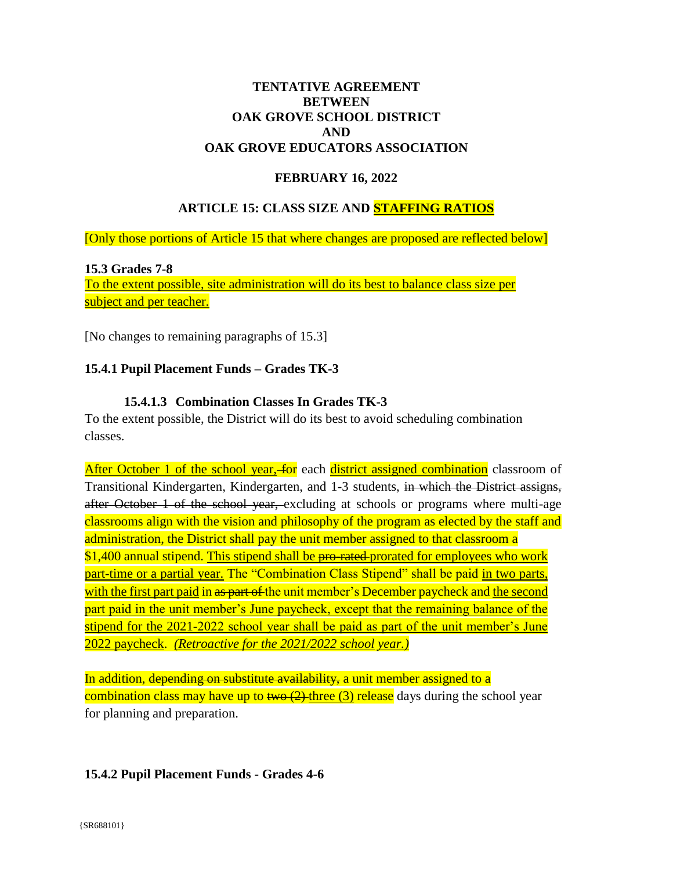### **TENTATIVE AGREEMENT BETWEEN** OAK GROVE SCHOOL DISTRICT **AND** OAK GROVE EDUCATORS ASSOCIATION

# **FEBRUARY 16, 2022**

# **ARTICLE 15: CLASS SIZE AND STAFFING RATIOS**

[Only those portions of Article 15 that where changes are proposed are reflected below]

#### **15.3 Grades 7-8**

To the extent possible, site administration will do its best to balance class size per subject and per teacher.

[No changes to remaining paragraphs of 15.3]

### 15.4.1 Pupil Placement Funds - Grades TK-3

### 15.4.1.3 Combination Classes In Grades TK-3

To the extent possible, the District will do its best to avoid scheduling combination classes.

After October 1 of the school year, for each district assigned combination classroom of Transitional Kindergarten, Kindergarten, and 1-3 students, in which the District assigns, after October 1 of the school year, excluding at schools or programs where multi-age classrooms align with the vision and philosophy of the program as elected by the staff and administration, the District shall pay the unit member assigned to that classroom a \$1,400 annual stipend. This stipend shall be pro-rated-prorated for employees who work part-time or a partial year. The "Combination Class Stipend" shall be paid in two parts, with the first part paid in <del>as part of t</del>he unit member's December paycheck and the second part paid in the unit member's June paycheck, except that the remaining balance of the stipend for the 2021-2022 school year shall be paid as part of the unit member's June 2022 paycheck. (Retroactive for the 2021/2022 school year.)

In addition, depending on substitute availability, a unit member assigned to a combination class may have up to  $\frac{1}{2}$  three (3) release days during the school year for planning and preparation.

### 15.4.2 Pupil Placement Funds - Grades 4-6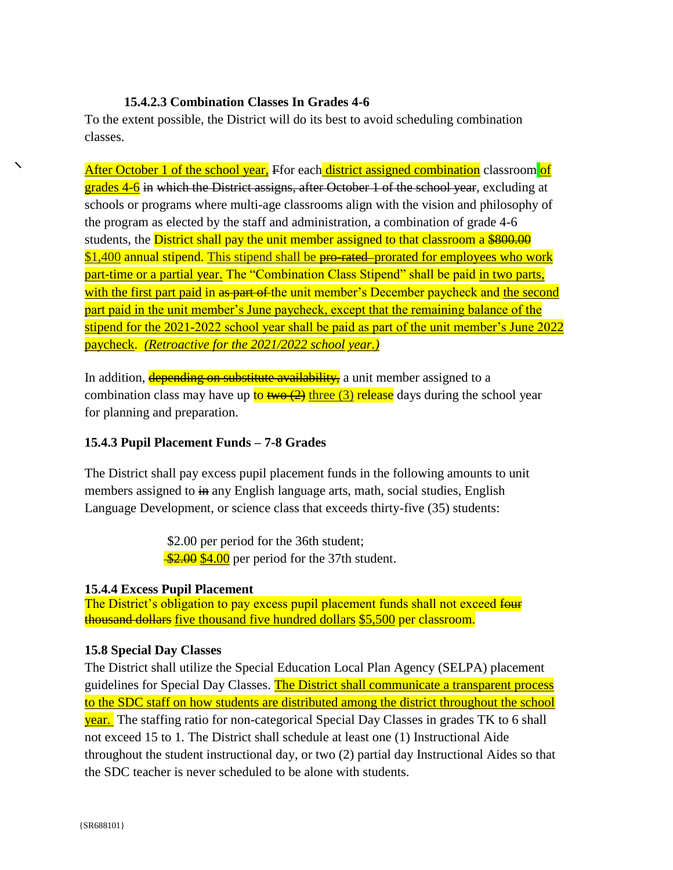### 15.4.2.3 Combination Classes In Grades 4-6

To the extent possible, the District will do its best to avoid scheduling combination classes.

After October 1 of the school year, Ffor each district assigned combination classroom of grades 4-6 in which the District assigns, after October 1 of the school year, excluding at schools or programs where multi-age classrooms align with the vision and philosophy of the program as elected by the staff and administration, a combination of grade 4-6 students, the **District shall pay the unit member assigned to that classroom a \$800.00** \$1,400 annual stipend. This stipend shall be pro-rated-prorated for employees who work part-time or a partial year. The "Combination Class Stipend" shall be paid in two parts, with the first part paid in as part of the unit member's December paycheck and the second part paid in the unit member's June paycheck, except that the remaining balance of the stipend for the 2021-2022 school year shall be paid as part of the unit member's June 2022 paycheck. (Retroactive for the 2021/2022 school year.)

In addition, depending on substitute availability, a unit member assigned to a combination class may have up to two  $(2)$  three  $(3)$  release days during the school year for planning and preparation.

### 15.4.3 Pupil Placement Funds - 7-8 Grades

The District shall pay excess pupil placement funds in the following amounts to unit members assigned to in any English language arts, math, social studies, English Language Development, or science class that exceeds thirty-five (35) students:

> \$2.00 per period for the 36th student;  $\frac{$2.00}{$4.00}$  per period for the 37th student.

### **15.4.4 Excess Pupil Placement**

The District's obligation to pay excess pupil placement funds shall not exceed four thousand dollars five thousand five hundred dollars \$5,500 per classroom.

# **15.8 Special Day Classes**

The District shall utilize the Special Education Local Plan Agency (SELPA) placement guidelines for Special Day Classes. The District shall communicate a transparent process to the SDC staff on how students are distributed among the district throughout the school year. The staffing ratio for non-categorical Special Day Classes in grades TK to 6 shall not exceed 15 to 1. The District shall schedule at least one (1) Instructional Aide throughout the student instructional day, or two (2) partial day Instructional Aides so that the SDC teacher is never scheduled to be alone with students.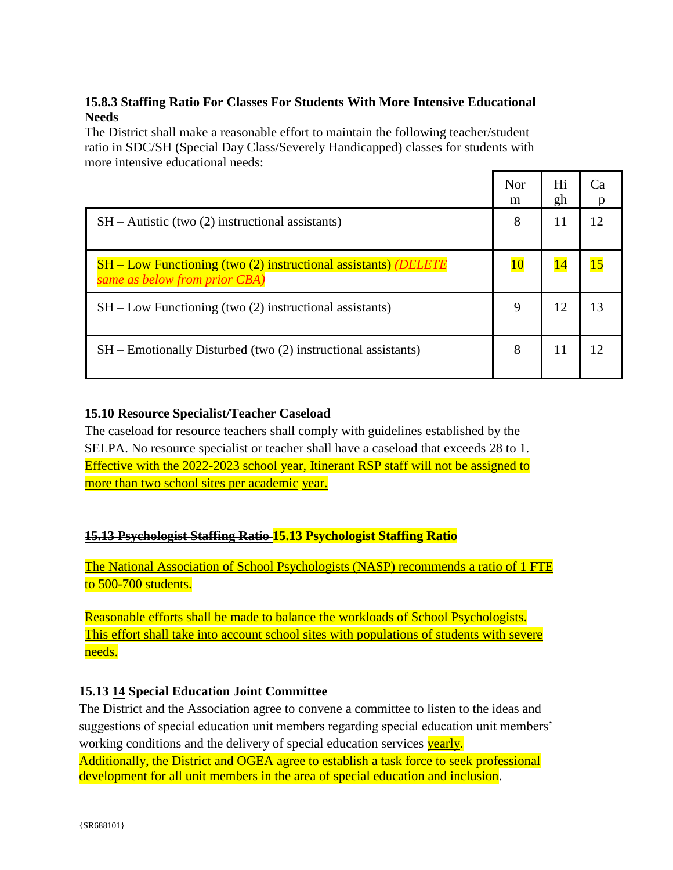# 15.8.3 Staffing Ratio For Classes For Students With More Intensive Educational **Needs**

The District shall make a reasonable effort to maintain the following teacher/student ratio in SDC/SH (Special Day Class/Severely Handicapped) classes for students with more intensive educational needs:

|                                                                                                         | <b>Nor</b><br>m | Hi<br>gh | Cа |
|---------------------------------------------------------------------------------------------------------|-----------------|----------|----|
| $SH - \text{Autistic (two (2) instructional assistants)}$                                               | 8               | 11       |    |
| <b>SH</b> - Low Functioning (two (2) instructional assistants) (DELETE<br>same as below from prior CBA) | $\overline{10}$ |          |    |
| $SH$ – Low Functioning (two $(2)$ instructional assistants)                                             | 9               | 12       | 13 |
| $SH$ – Emotionally Disturbed (two $(2)$ instructional assistants)                                       | 8               | 11       |    |

# **15.10 Resource Specialist/Teacher Caseload**

The caseload for resource teachers shall comply with guidelines established by the SELPA. No resource specialist or teacher shall have a caseload that exceeds 28 to 1. Effective with the 2022-2023 school year, Itinerant RSP staff will not be assigned to more than two school sites per academic year.

# **15.13 Psychologist Staffing Ratio 15.13 Psychologist Staffing Ratio**

The National Association of School Psychologists (NASP) recommends a ratio of 1 FTE to 500-700 students.

Reasonable efforts shall be made to balance the workloads of School Psychologists. This effort shall take into account school sites with populations of students with severe needs.

# 15.13 14 Special Education Joint Committee

The District and the Association agree to convene a committee to listen to the ideas and suggestions of special education unit members regarding special education unit members' working conditions and the delivery of special education services vearly.

Additionally, the District and OGEA agree to establish a task force to seek professional development for all unit members in the area of special education and inclusion.